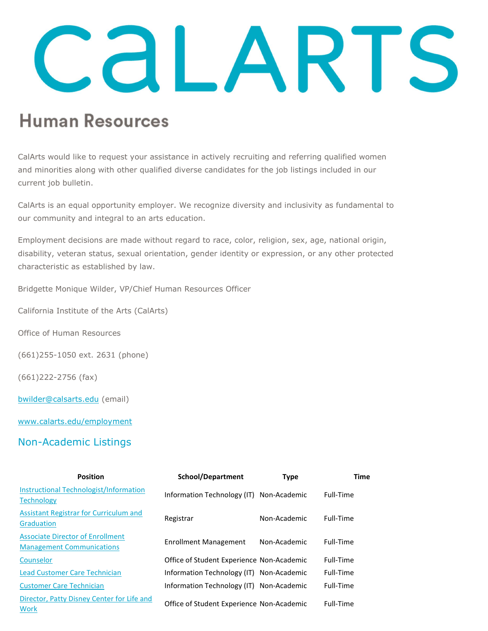## CALARTS

## **Human Resources**

CalArts would like to request your assistance in actively recruiting and referring qualified women and minorities along with other qualified diverse candidates for the job listings included in our current job bulletin.

CalArts is an equal opportunity employer. We recognize diversity and inclusivity as fundamental to our community and integral to an arts education.

Employment decisions are made without regard to race, color, religion, sex, age, national origin, disability, veteran status, sexual orientation, gender identity or expression, or any other protected characteristic as established by law.

Bridgette Monique Wilder, VP/Chief Human Resources Officer

California Institute of the Arts (CalArts)

Office of Human Resources

(661)255-1050 ext. 2631 (phone)

(661)222-2756 (fax)

bwilder@calsarts.edu (email)

www.calarts.edu/employment

## Non-Academic Listings

| <b>Position</b>                                                             | School/Department                         | <b>Type</b>  | Time      |
|-----------------------------------------------------------------------------|-------------------------------------------|--------------|-----------|
| <b>Instructional Technologist/Information</b><br><b>Technology</b>          | Information Technology (IT) Non-Academic  |              | Full-Time |
| Assistant Registrar for Curriculum and<br><b>Graduation</b>                 | Registrar                                 | Non-Academic | Full-Time |
| <b>Associate Director of Enrollment</b><br><b>Management Communications</b> | Enrollment Management                     | Non-Academic | Full-Time |
| Counselor                                                                   | Office of Student Experience Non-Academic |              | Full-Time |
| <b>Lead Customer Care Technician</b>                                        | Information Technology (IT) Non-Academic  |              | Full-Time |
| <b>Customer Care Technician</b>                                             | Information Technology (IT) Non-Academic  |              | Full-Time |
| Director, Patty Disney Center for Life and<br><b>Work</b>                   | Office of Student Experience Non-Academic |              | Full-Time |